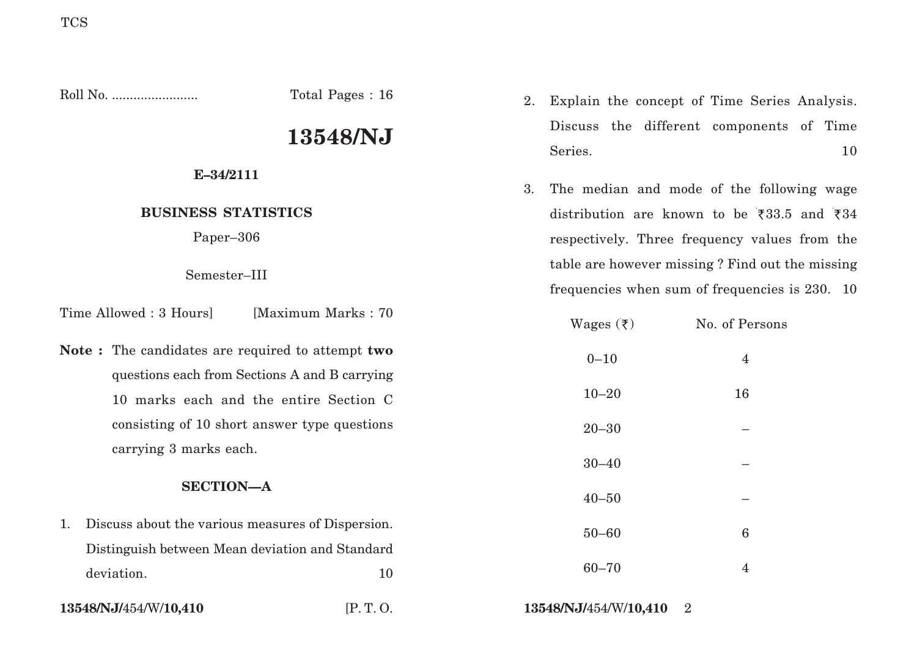Roll No. ........................ Total Pages : 16

# **13548/NJ**

### **E–34/2111**

## **BUSINESS STATISTICS**

Paper–306

Semester–III

Time Allowed : 3 Hours [Maximum Marks : 70]

**Note :** The candidates are required to attempt **two** questions each from Sections A and B carrying 10 marks each and the entire Section C consisting of 10 short answer type questions carrying 3 marks each.

### **SECTION—A**

- 1. Discuss about the various measures of Dispersion. Distinguish between Mean deviation and Standard deviation. 10
- 

- 2. Explain the concept of Time Series Analysis. Discuss the different components of Time Series. 10
- 3. The median and mode of the following wage distribution are known to be  $\overline{533.5}$  and  $\overline{534}$ respectively. Three frequency values from the table are however missing ? Find out the missing frequencies when sum of frequencies is 230. 10

| Wages $(\bar{\tau})$ | No. of Persons |
|----------------------|----------------|
| $0 - 10$             | $\overline{4}$ |
| $10 - 20$            | 16             |
| $20 - 30$            |                |
| $30 - 40$            |                |
| $40 - 50$            |                |
| $50 - 60$            | $\bf 6$        |
| $60 - 70$            | $\overline{4}$ |
|                      |                |

**13548/NJ/**454/W/**10,410** [P. T. O. **13548/NJ/**454/W/**10,410** 2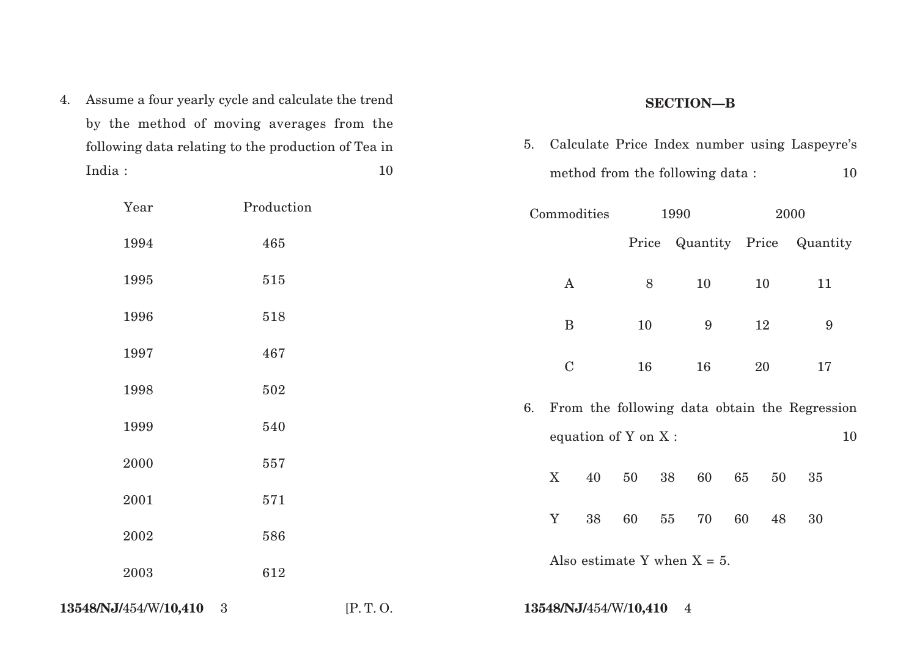4. Assume a four yearly cycle and calculate the trend by the method of moving averages from the following data relating to the production of Tea in India : 10

### **SECTION—B**

5. Calculate Price Index number using Laspeyre's method from the following data :  $10$ 

| Year                  | Production |         |                           | Commodities                    |       | 1990 |                 |          | 2000                                          |    |
|-----------------------|------------|---------|---------------------------|--------------------------------|-------|------|-----------------|----------|-----------------------------------------------|----|
| 1994                  | 465        |         |                           |                                |       |      |                 |          | Price Quantity Price Quantity                 |    |
| 1995                  | 515        |         |                           | $\bf{A}$                       | $8\,$ |      | 10              | 10       | 11                                            |    |
| 1996                  | 518        |         |                           | $\mathbf B$                    | 10    |      | $9\phantom{.0}$ | $12\,$   | $\boldsymbol{9}$                              |    |
| 1997                  | 467        |         |                           | $\mathbf C$                    | 16    |      | 16              | 20       | 17                                            |    |
| 1998                  | 502        |         |                           |                                |       |      |                 |          |                                               |    |
| 1999                  | 540        |         | 6.                        | equation of Y on X:            |       |      |                 |          | From the following data obtain the Regression | 10 |
| 2000                  | 557        |         | $\boldsymbol{\mathrm{X}}$ | 40                             | 50    | 38   | 60              | 65<br>50 | 35                                            |    |
| 2001                  | 571        |         |                           |                                |       |      |                 |          |                                               |    |
| 2002                  | 586        |         | $\mathbf Y$               | 38                             | 60    | 55   | 70              | 60<br>48 | 30                                            |    |
| 2003                  | 612        |         |                           | Also estimate Y when $X = 5$ . |       |      |                 |          |                                               |    |
| 13548/NJ/454/W/10,410 | 3          | [P.T.O. |                           | 13548/NJ/454/W/10,410          |       |      | $\overline{4}$  |          |                                               |    |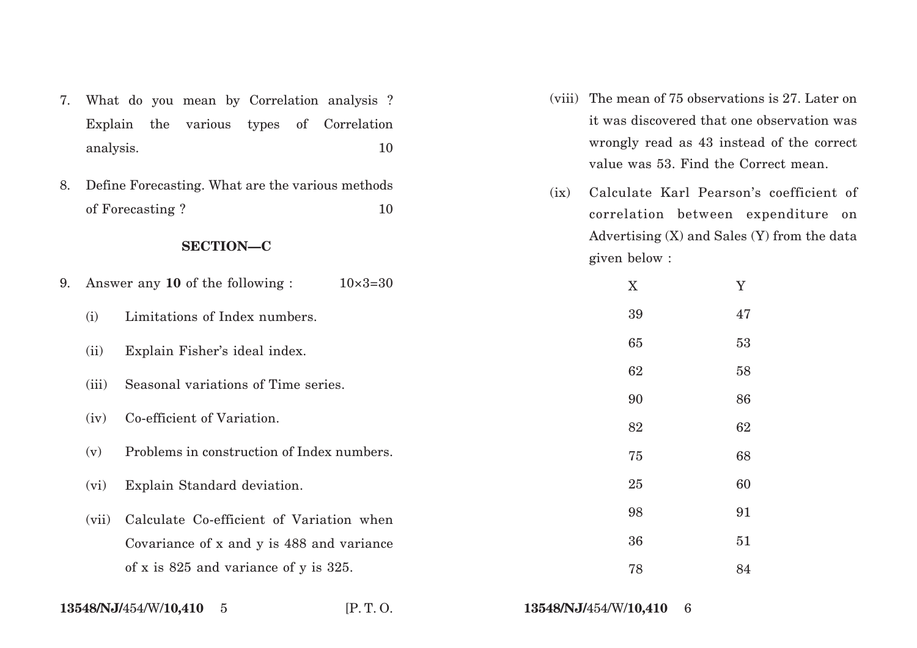- 7. What do you mean by Correlation analysis ? Explain the various types of Correlation analysis. 10
- 8. Define Forecasting. What are the various methods of Forecasting ? 10

#### **SECTION—C**

- (viii) The mean of 75 observations is 27. Later on it was discovered that one observation was wrongly read as 43 instead of the correct value was 53. Find the Correct mean.
- (ix) Calculate Karl Pearson's coefficient of correlation between expenditure on Advertising (X) and Sales (Y) from the data given below :

| 9. |       | Answer any 10 of the following:<br>$10\times3=30$ | X  | Y  |
|----|-------|---------------------------------------------------|----|----|
|    | (i)   | Limitations of Index numbers.                     | 39 | 47 |
|    | (ii)  | Explain Fisher's ideal index.                     | 65 | 53 |
|    | (iii) | Seasonal variations of Time series.               | 62 | 58 |
|    |       |                                                   | 90 | 86 |
|    | (iv)  | Co-efficient of Variation.                        | 82 | 62 |
|    | (v)   | Problems in construction of Index numbers.        | 75 | 68 |
|    | (vi)  | Explain Standard deviation.                       | 25 | 60 |
|    | (vii) | Calculate Co-efficient of Variation when          | 98 | 91 |
|    |       | Covariance of x and y is 488 and variance         | 36 | 51 |
|    |       | of x is $825$ and variance of y is $325$ .        | 78 | 84 |
|    |       |                                                   |    |    |

5 [P. T. O. **13548/NJ/**454/W/**10,410** 6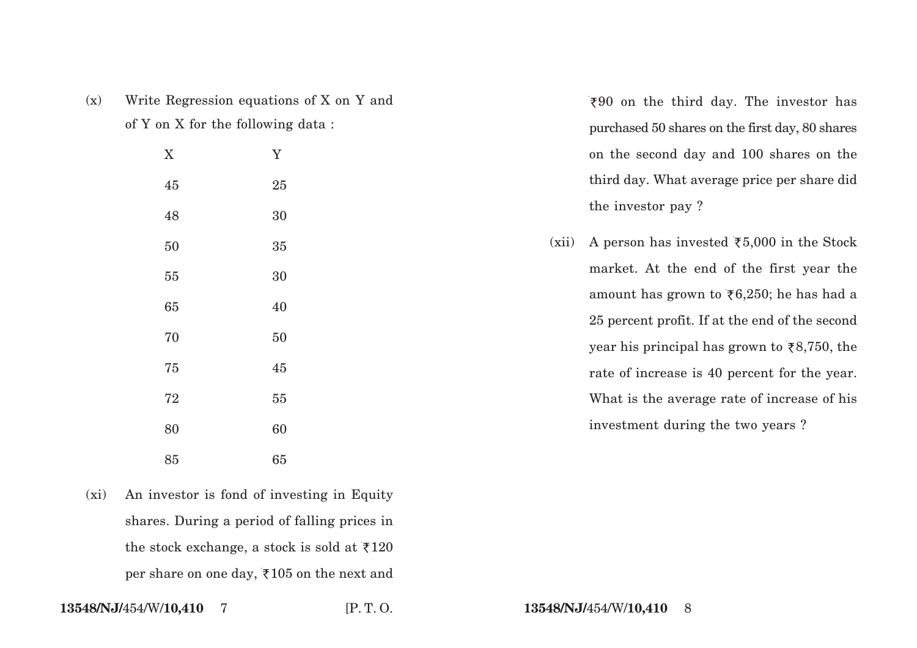| (x) | Write Regression equations of X on Y and |
|-----|------------------------------------------|
|     | of Y on X for the following data:        |

X Y

45 25

48 30

50 35

55 30

65 40

70 50

75 45

72 55

80 60

85 65

`90 on the third day. The investor has purchased 50 shares on the first day, 80 shares on the second day and 100 shares on the third day. What average price per share did the investor pay ?

(xii) A person has invested  $\overline{\xi}5,000$  in the Stock market. At the end of the first year the amount has grown to  $\overline{56,250}$ ; he has had a 25 percent profit. If at the end of the second year his principal has grown to  $\overline{\xi}8,750$ , the rate of increase is 40 percent for the year. What is the average rate of increase of his investment during the two years ?

(xi) An investor is fond of investing in Equity shares. During a period of falling prices in the stock exchange, a stock is sold at  $\overline{\xi}120$ per share on one day,  $\overline{\xi}$  105 on the next and

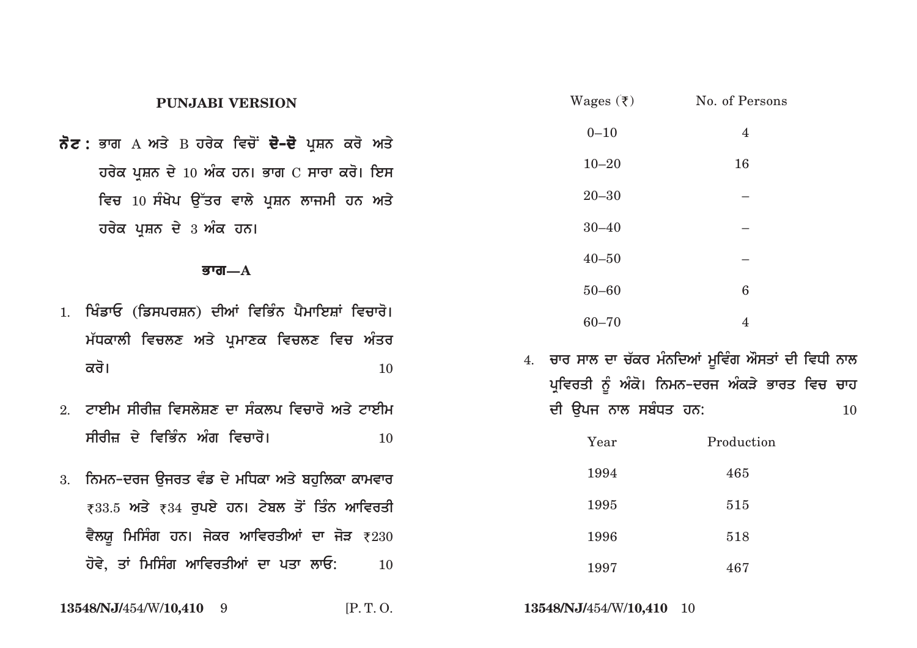|    | <b>PUNJABI VERSION</b>                                   | Wages $(\bar{\tau})$ | No. of Persons                                      |
|----|----------------------------------------------------------|----------------------|-----------------------------------------------------|
|    | ਨੋਟ : ਭਾਗ A ਅਤੇ B ਹਰੇਕ ਵਿਚੋਂ <b>ਦੋ–ਦੋ</b> ਪ੍ਰਸ਼ਨ ਕਰੋ ਅਤੇ | $0 - 10$             | $\overline{4}$                                      |
|    | ਹਰੇਕ ਪ੍ਰਸ਼ਨ ਦੇ 10 ਅੰਕ ਹਨ। ਭਾਗ C ਸਾਰਾ ਕਰੋ। ਇਸ             | $10 - 20$            | 16                                                  |
|    | ਵਿਚ 10 ਸੰਖੇਪ ਉੱਤਰ ਵਾਲੇ ਪ੍ਰਸ਼ਨ ਲਾਜਮੀ ਹਨ ਅਤੇ               | $20 - 30$            |                                                     |
|    | ਹਰੇਕ ਪ੍ਰਸ਼ਨ ਦੇ 3 ਅੰਕ ਹਨ।                                 | $30 - 40$            |                                                     |
|    | ਭਾਗ $-A$                                                 | $40 - 50$            |                                                     |
|    |                                                          | $50 - 60$            | $\,6\,$                                             |
|    | 1. ਖਿੰਡਾਓ (ਡਿਸਪਰਸ਼ਨ) ਦੀਆਂ ਵਿਭਿੰਨ ਪੈਮਾਇਸ਼ਾਂ ਵਿਚਾਰੋ।       | $60 - 70$            | $\overline{4}$                                      |
|    | ਮੱਧਕਾਲੀ ਵਿਚਲਣ ਅਤੇ ਪ੍ਰਮਾਣਕ ਵਿਚਲਣ ਵਿਚ ਅੰਤਰ                 |                      |                                                     |
|    | ਕਰੋ।<br>10                                               |                      | 4. ਚਾਰ ਸਾਲ ਦਾ ਚੱਕਰ ਮੰਨਦਿਆਂ ਮੂਵਿੰਗ ਔਸਤਾਂ ਦੀ ਵਿਧੀ ਨਾਲ |
|    |                                                          |                      | ਪ੍ਰਵਿਰਤੀ ਨੂੰ ਅੰਕੋ। ਨਿਮਨ–ਦਰਜ ਅੰਕੜੇ ਭਾਰਤ ਵਿਚ ਚਾਹ      |
|    | 2. ਟਾਈਮ ਸੀਰੀਜ਼ ਵਿਸਲੇਸ਼ਣ ਦਾ ਸੰਕਲਪ ਵਿਚਾਰੋ ਅਤੇ ਟਾਈਮ         | ਦੀ ਉਪਜ ਨਾਲ ਸਬੰਧਤ ਹਨ: | 10                                                  |
|    | ਸੀਰੀਜ਼ ਦੇ ਵਿਭਿੰਨ ਅੰਗ ਵਿਚਾਰੋ।<br>10                       | Year                 | Production                                          |
| 3. | ਨਿਮਨ-ਦਰਜ ਉਜਰਤ ਵੰਡ ਦੇ ਮਧਿਕਾ ਅਤੇ ਬਹੁਲਿਕਾ ਕਾਮਵਾਰ            | 1994                 | 465                                                 |
|    | ₹33.5 ਅਤੇ ₹34 ਰੁਪਏ ਹਨ। ਟੇਬਲ ਤੋਂ ਤਿੰਨ ਆਵਿਰਤੀ              | 1995                 | 515                                                 |
|    | ਵੈਲਯੁ ਮਿਸਿੰਗ ਹਨ। ਜੇਕਰ ਆਵਿਰਤੀਆਂ ਦਾ ਜੋੜ ₹230               | 1996                 | 518                                                 |
|    | ਹੋਵੇ, ਤਾਂ ਮਿਸਿੰਗ ਆਵਿਰਤੀਆਂ ਦਾ ਪਤਾ ਲਾਓ:<br>10              | 1997                 | 467                                                 |
|    |                                                          |                      |                                                     |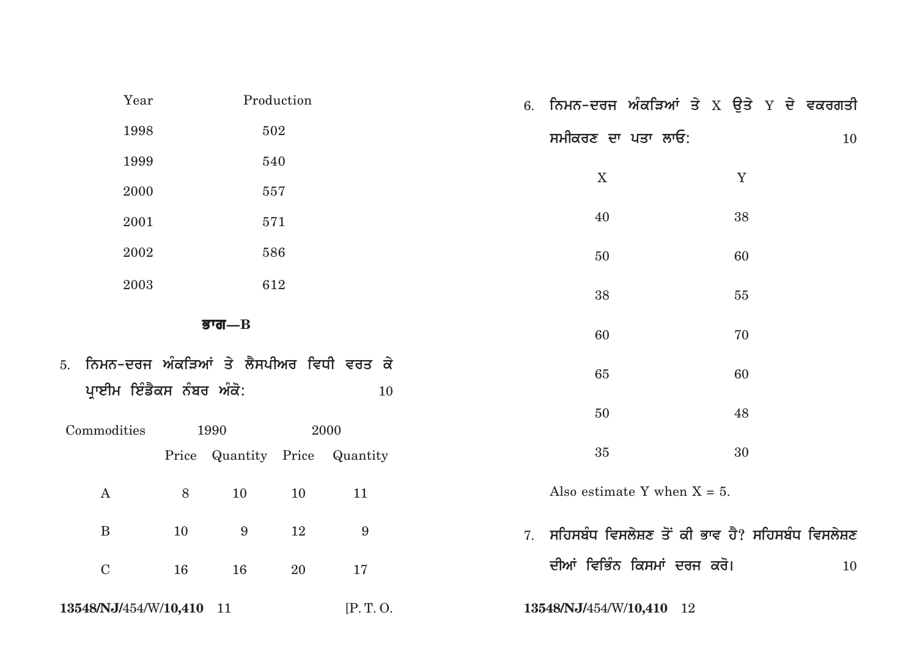| Year                                                                   |    |                  | Production |                               |    | 6. ਨਿਮਨ-ਦਰਜ ਅੰਕੜਿਆਂ ਤੇ x ਉਤੇ Y ਦੇ ਵਕਰਗਤੀ         |  |             |    |
|------------------------------------------------------------------------|----|------------------|------------|-------------------------------|----|--------------------------------------------------|--|-------------|----|
| 1998                                                                   |    |                  | 502        |                               |    | ਸਮੀਕਰਣ ਦਾ ਪਤਾ ਲਾਓ:                               |  |             | 10 |
| 1999                                                                   |    |                  | 540        |                               |    |                                                  |  |             |    |
| 2000                                                                   |    |                  | 557        |                               |    | X                                                |  | $\mathbf Y$ |    |
| 2001                                                                   |    |                  | 571        |                               |    | 40                                               |  | 38          |    |
| 2002                                                                   |    |                  | 586        |                               |    | 50                                               |  | 60          |    |
| 2003                                                                   |    |                  | 612        |                               |    | 38                                               |  | 55          |    |
|                                                                        |    | डग्ग $-B$        |            |                               |    | 60                                               |  | 70          |    |
| 5. ਨਿਮਨ–ਦਰਜ ਅੰਕੜਿਆਂ ਤੇ ਲੈਸਪੀਅਰ ਵਿਧੀ ਵਰਤ ਕੇ<br>ਪ੍ਰਾਈਮ ਇੰਡੈਕਸ ਨੰਬਰ ਅੰਕੋ: |    |                  |            | 10                            |    | 65                                               |  | 60          |    |
| Commodities                                                            |    | 1990             |            | 2000                          |    | 50                                               |  | 48          |    |
|                                                                        |    |                  |            | Price Quantity Price Quantity |    | 35                                               |  | 30          |    |
| $\boldsymbol{A}$                                                       | 8  | 10               | 10         | 11                            |    | Also estimate Y when $X = 5$ .                   |  |             |    |
| $\bf{B}$                                                               | 10 | $\boldsymbol{9}$ | 12         | $9\,$                         | 7. | ਸਹਿਸਬੰਧ ਵਿਸਲੇਸ਼ਣ ਤੋਂ ਕੀ ਭਾਵ ਹੈ? ਸਹਿਸਬੰਧ ਵਿਸਲੇਸ਼ਣ |  |             |    |
| ${\bf C}$                                                              | 16 | 16               | 20         | 17                            |    | ਦੀਆਂ ਵਿਭਿੰਨ ਕਿਸਮਾਂ ਦਰਜ ਕਰੋ।                      |  |             | 10 |
| 13548/NJ/454/W/10,410 11                                               |    |                  |            | [P.T.O.                       |    | 13548/NJ/454/W/10,410 12                         |  |             |    |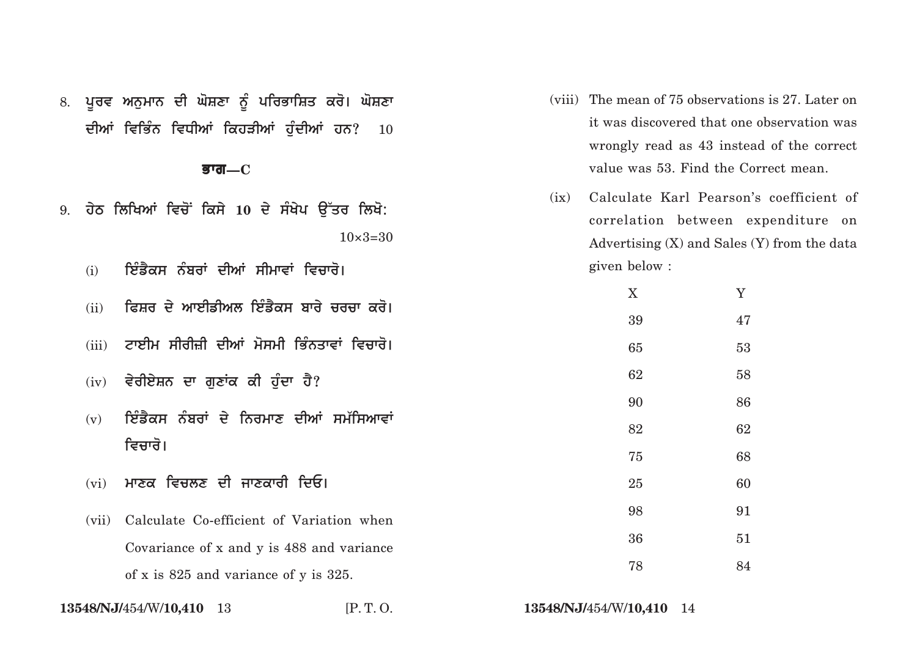|    |       | डग्ਗ $\rm -C$                                |                    |      |                          | value was 53. Find the Correct mean.                                                                                             |  |
|----|-------|----------------------------------------------|--------------------|------|--------------------------|----------------------------------------------------------------------------------------------------------------------------------|--|
| 9. |       | ਹੇਠ ਲਿਖਿਆਂ ਵਿਚੋਂ ਕਿਸੇ 10 ਦੇ ਸੰਖੇਪ ਉੱਤਰ ਲਿਖੋ: | $10 \times 3 = 30$ | (ix) |                          | Calculate Karl Pearson's coefficient of<br>correlation between expenditure on<br>Advertising $(X)$ and Sales $(Y)$ from the data |  |
|    | (i)   | ਇੰਡੈਕਸ ਨੰਬਰਾਂ ਦੀਆਂ ਸੀਮਾਵਾਂ ਵਿਚਾਰੋ।           |                    |      | given below :            |                                                                                                                                  |  |
|    | (ii)  | ਫਿਸ਼ਰ ਦੇ ਆਈਡੀਅਲ ਇੰਡੈਕਸ ਬਾਰੇ ਚਰਚਾ ਕਰੋ।        |                    |      | X                        | Y                                                                                                                                |  |
|    |       |                                              |                    |      | 39                       | 47                                                                                                                               |  |
|    | (iii) | ਟਾਈਮ ਸੀਰੀਜ਼ੀ ਦੀਆਂ ਮੋਸਮੀ ਭਿੰਨਤਾਵਾਂ ਵਿਚਾਰੋ।    |                    |      | 65                       | 53                                                                                                                               |  |
|    | (iv)  | ਵੇਰੀਏਸ਼ਨ ਦਾ ਗੁਣਾਂਕ ਕੀ ਹੁੰਦਾ ਹੈ?              |                    |      | 62                       | 58                                                                                                                               |  |
|    |       |                                              |                    |      | 90                       | 86                                                                                                                               |  |
|    | (v)   | ਇੰਡੈਕਸ ਨੰਬਰਾਂ ਦੇ ਨਿਰਮਾਣ ਦੀਆਂ ਸਮੱਸਿਆਵਾਂ       |                    | 82   | 62                       |                                                                                                                                  |  |
|    |       | ਵਿਚਾਰੋ।                                      |                    |      | 75                       | 68                                                                                                                               |  |
|    | (vi)  | ਮਾਣਕ ਵਿਚਲਣ ਦੀ ਜਾਣਕਾਰੀ ਦਿਓ।                   |                    |      | 25                       | 60                                                                                                                               |  |
|    | (vii) | Calculate Co-efficient of Variation when     |                    |      | 98                       | 91                                                                                                                               |  |
|    |       | Covariance of x and y is 488 and variance    |                    |      | 36                       | 51                                                                                                                               |  |
|    |       | of x is 825 and variance of y is 325.        |                    |      | 78                       | 84                                                                                                                               |  |
|    |       | 13548/NJ/454/W/10,410 13                     | [P.T.O.            |      | 13548/NJ/454/W/10,410 14 |                                                                                                                                  |  |

(viii) The mean of 75 observations is 27. Later on

it was discovered that one observation was

wrongly read as 43 instead of the correct

8. ਪੂਰਵ ਅਨੁਮਾਨ ਦੀ ਘੋਸ਼ਣਾ ਨੂੰ ਪਰਿਭਾਸ਼ਿਤ ਕਰੋ। ਘੋਸ਼ਣਾ

ਦੀਆਂ ਵਿਭਿੰਨ ਵਿਧੀਆਂ ਕਿਹੜੀਆਂ ਹੁੰਦੀਆਂ ਹਨ? **10**